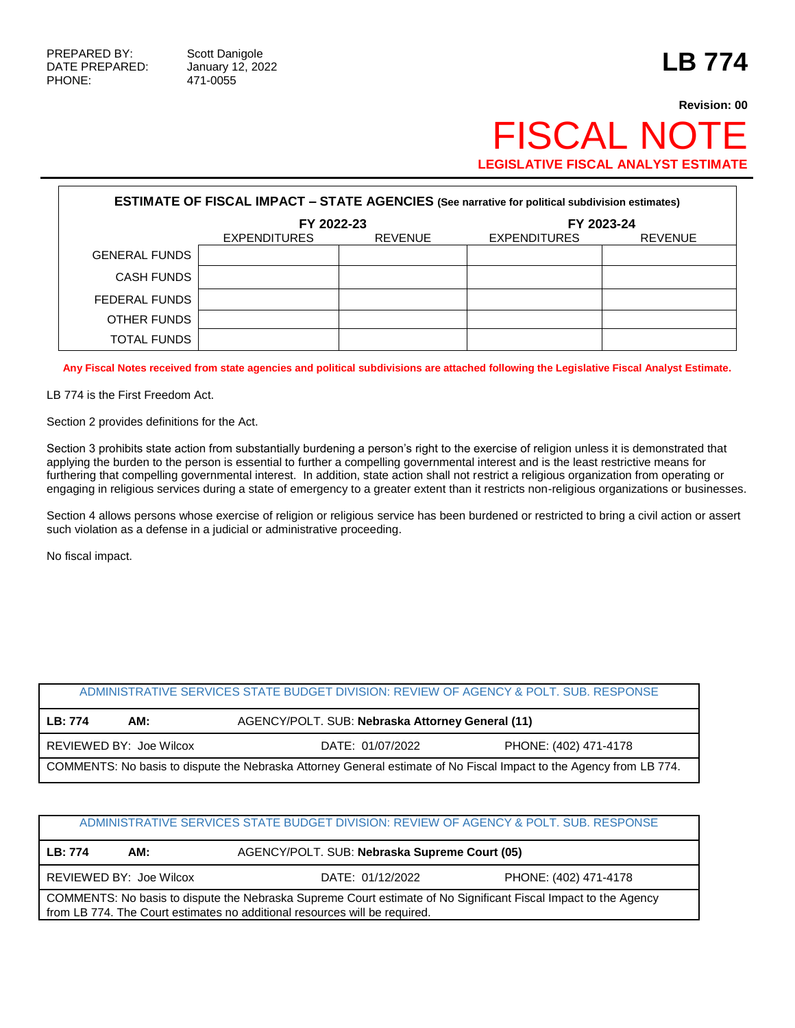## **Revision: 00** FISCAL NOTE **LEGISLATIVE FISCAL ANALYST ESTIMATE**

| <b>ESTIMATE OF FISCAL IMPACT - STATE AGENCIES (See narrative for political subdivision estimates)</b> |                     |                |                     |                |  |
|-------------------------------------------------------------------------------------------------------|---------------------|----------------|---------------------|----------------|--|
|                                                                                                       | FY 2022-23          |                | FY 2023-24          |                |  |
|                                                                                                       | <b>EXPENDITURES</b> | <b>REVENUE</b> | <b>EXPENDITURES</b> | <b>REVENUE</b> |  |
| <b>GENERAL FUNDS</b>                                                                                  |                     |                |                     |                |  |
| <b>CASH FUNDS</b>                                                                                     |                     |                |                     |                |  |
| FEDERAL FUNDS                                                                                         |                     |                |                     |                |  |
| OTHER FUNDS                                                                                           |                     |                |                     |                |  |
| TOTAL FUNDS                                                                                           |                     |                |                     |                |  |

**Any Fiscal Notes received from state agencies and political subdivisions are attached following the Legislative Fiscal Analyst Estimate.**

LB 774 is the First Freedom Act.

Section 2 provides definitions for the Act.

Section 3 prohibits state action from substantially burdening a person's right to the exercise of religion unless it is demonstrated that applying the burden to the person is essential to further a compelling governmental interest and is the least restrictive means for furthering that compelling governmental interest. In addition, state action shall not restrict a religious organization from operating or engaging in religious services during a state of emergency to a greater extent than it restricts non-religious organizations or businesses.

Section 4 allows persons whose exercise of religion or religious service has been burdened or restricted to bring a civil action or assert such violation as a defense in a judicial or administrative proceeding.

No fiscal impact.

| ADMINISTRATIVE SERVICES STATE BUDGET DIVISION: REVIEW OF AGENCY & POLT. SUB. RESPONSE                               |                         |                                                  |                       |  |
|---------------------------------------------------------------------------------------------------------------------|-------------------------|--------------------------------------------------|-----------------------|--|
| LB: 774                                                                                                             | AM:                     | AGENCY/POLT. SUB: Nebraska Attorney General (11) |                       |  |
|                                                                                                                     | REVIEWED BY: Joe Wilcox | DATE: 01/07/2022                                 | PHONE: (402) 471-4178 |  |
| COMMENTS: No basis to dispute the Nebraska Attorney General estimate of No Fiscal Impact to the Agency from LB 774. |                         |                                                  |                       |  |

| ADMINISTRATIVE SERVICES STATE BUDGET DIVISION: REVIEW OF AGENCY & POLT. SUB. RESPONSE                                                                                                         |                                                                      |                                               |  |  |  |
|-----------------------------------------------------------------------------------------------------------------------------------------------------------------------------------------------|----------------------------------------------------------------------|-----------------------------------------------|--|--|--|
| LB: 774                                                                                                                                                                                       | AM:                                                                  | AGENCY/POLT. SUB: Nebraska Supreme Court (05) |  |  |  |
|                                                                                                                                                                                               | REVIEWED BY: Joe Wilcox<br>DATE: 01/12/2022<br>PHONE: (402) 471-4178 |                                               |  |  |  |
| COMMENTS: No basis to dispute the Nebraska Supreme Court estimate of No Significant Fiscal Impact to the Agency<br>from LB 774. The Court estimates no additional resources will be required. |                                                                      |                                               |  |  |  |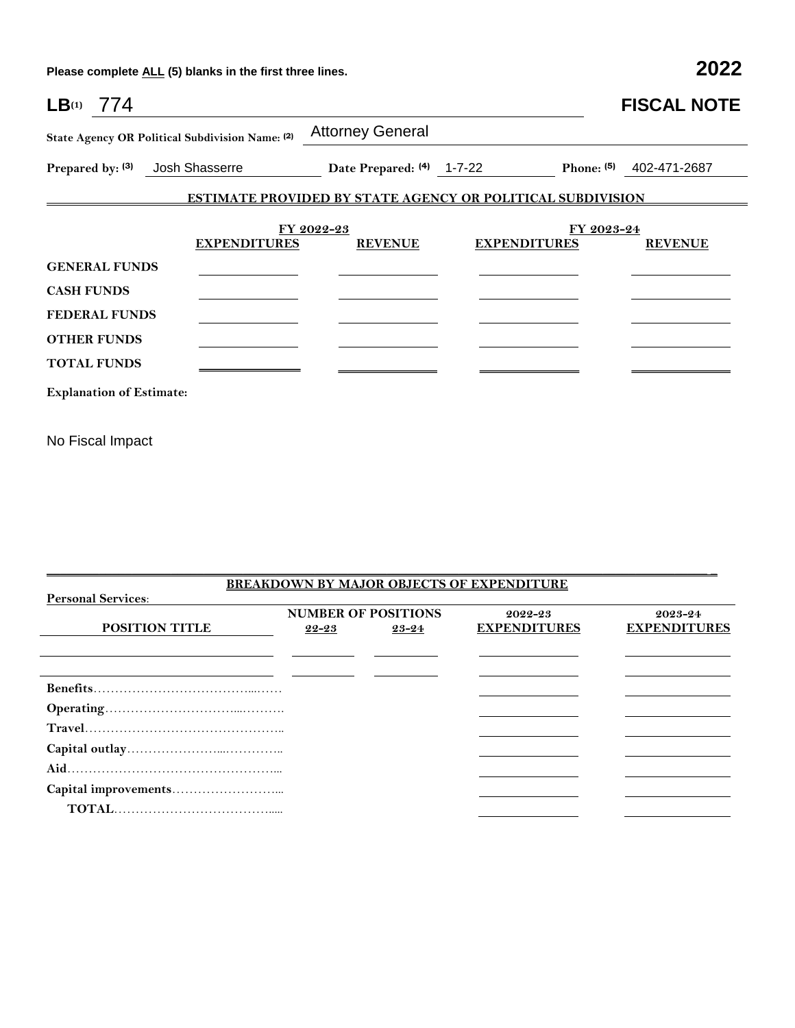**Please complete ALL (5) blanks in the first three lines. 2022**

| $LB^{(1)}$ 774                                                                                                                       |                              |                                                                   | <b>FISCAL NOTE</b>      |
|--------------------------------------------------------------------------------------------------------------------------------------|------------------------------|-------------------------------------------------------------------|-------------------------|
| State Agency OR Political Subdivision Name: (2)                                                                                      | <b>Attorney General</b>      |                                                                   |                         |
| Josh Shasserre<br>Prepared by: (3)                                                                                                   | Date Prepared: (4) 1-7-22    |                                                                   | Phone: (5) 402-471-2687 |
|                                                                                                                                      |                              | <b>ESTIMATE PROVIDED BY STATE AGENCY OR POLITICAL SUBDIVISION</b> |                         |
| <b>EXPENDITURES</b><br><b>GENERAL FUNDS</b><br><b>CASH FUNDS</b><br><b>FEDERAL FUNDS</b><br><b>OTHER FUNDS</b><br><b>TOTAL FUNDS</b> | FY 2022-23<br><b>REVENUE</b> | FY 2023-24<br><b>EXPENDITURES</b>                                 | <b>REVENUE</b>          |
| <b>Explanation of Estimate:</b>                                                                                                      |                              |                                                                   |                         |
|                                                                                                                                      |                              |                                                                   |                         |

No Fiscal Impact

|                           |                            |  | <b>BREAKDOWN BY MAJOR OBJECTS OF EXPENDITURE</b> |                     |
|---------------------------|----------------------------|--|--------------------------------------------------|---------------------|
| <b>Personal Services:</b> |                            |  |                                                  |                     |
|                           | <b>NUMBER OF POSITIONS</b> |  | 2022-23                                          | 2023-24             |
| <b>POSITION TITLE</b>     | 22-23<br>23-24             |  | <b>EXPENDITURES</b>                              | <b>EXPENDITURES</b> |
|                           |                            |  |                                                  |                     |
|                           |                            |  |                                                  |                     |
|                           |                            |  |                                                  |                     |
|                           |                            |  |                                                  |                     |
|                           |                            |  |                                                  |                     |
|                           |                            |  |                                                  |                     |
|                           |                            |  |                                                  |                     |
|                           |                            |  |                                                  |                     |
|                           |                            |  |                                                  |                     |
|                           |                            |  |                                                  |                     |
|                           |                            |  |                                                  |                     |
|                           |                            |  |                                                  |                     |
|                           |                            |  |                                                  |                     |

 $\mathcal{L}_\mathcal{L} = \{ \mathcal{L}_\mathcal{L} = \{ \mathcal{L}_\mathcal{L} = \{ \mathcal{L}_\mathcal{L} = \{ \mathcal{L}_\mathcal{L} = \{ \mathcal{L}_\mathcal{L} = \{ \mathcal{L}_\mathcal{L} = \{ \mathcal{L}_\mathcal{L} = \{ \mathcal{L}_\mathcal{L} = \{ \mathcal{L}_\mathcal{L} = \{ \mathcal{L}_\mathcal{L} = \{ \mathcal{L}_\mathcal{L} = \{ \mathcal{L}_\mathcal{L} = \{ \mathcal{L}_\mathcal{L} = \{ \mathcal{L}_\mathcal{$